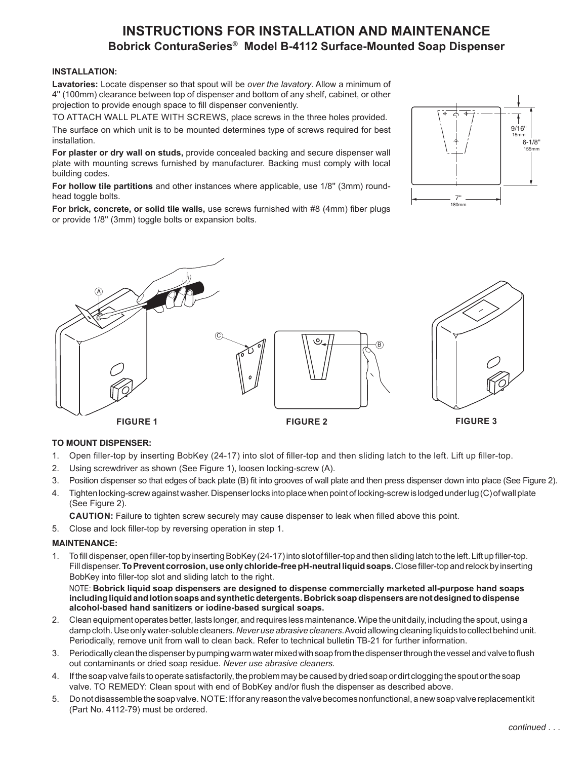# **INSTRUCTIONS FOR INSTALLATION AND MAINTENANCE Bobrick ConturaSeries® Model B-4112 Surface-Mounted Soap Dispenser**

#### **INSTALLATION:**

**Lavatories:** Locate dispenser so that spout will be *over the lavatory*. Allow a minimum of 4'' (100mm) clearance between top of dispenser and bottom of any shelf, cabinet, or other projection to provide enough space to fill dispenser conveniently.

TO ATTACH WALL PLATE WITH SCREWS, place screws in the three holes provided. The surface on which unit is to be mounted determines type of screws required for best installation.

**For plaster or dry wall on studs,** provide concealed backing and secure dispenser wall plate with mounting screws furnished by manufacturer. Backing must comply with local building codes.

**For hollow tile partitions** and other instances where applicable, use 1/8'' (3mm) roundhead toggle bolts.

**For brick, concrete, or solid tile walls,** use screws furnished with #8 (4mm) fiber plugs or provide 1/8'' (3mm) toggle bolts or expansion bolts.





#### **TO MOUNT DISPENSER:**

- 1. Open filler-top by inserting BobKey (24-17) into slot of filler-top and then sliding latch to the left. Lift up filler-top.
- 2. Using screwdriver as shown (See Figure 1), loosen locking-screw (A).
- 3. Position dispenser so that edges of back plate (B) fit into grooves of wall plate and then press dispenser down into place (See Figure 2).
- 4. Tighten locking-screw against washer. Dispenser locks into place when point of locking-screw is lodged under lug (C) of wall plate (See Figure 2).

**CAUTION:** Failure to tighten screw securely may cause dispenser to leak when filled above this point.

5. Close and lock filler-top by reversing operation in step 1.

#### **MAINTENANCE:**

1. To fill dispenser, open filler-top by inserting BobKey (24-17) into slot of filler-top and then sliding latch to the left. Lift up filler-top. Fill dispenser. **To Prevent corrosion, use only chloride-free pH-neutral liquid soaps.** Close filler-top and relock by inserting BobKey into filler-top slot and sliding latch to the right.

 NOTE: **Bobrick liquid soap dispensers are designed to dispense commercially marketed all-purpose hand soaps including liquid and lotion soaps and synthetic detergents. Bobrick soap dispensers are not designed to dispense alcohol-based hand sanitizers or iodine-based surgical soaps.**

- 2. Clean equipment operates better, lasts longer, and requires less maintenance. Wipe the unit daily, including the spout, using a damp cloth. Use only water-soluble cleaners. *Never use abrasive cleaners*. Avoid allowing cleaning liquids to collect behind unit. Periodically, remove unit from wall to clean back. Refer to technical bulletin TB-21 for further information.
- 3. Periodically clean the dispenser by pumping warm water mixed with soap from the dispenser through the vessel and valve to flush out contaminants or dried soap residue. *Never use abrasive cleaners.*
- 4. If the soap valve fails to operate satisfactorily, the problem may be caused by dried soap or dirt clogging the spout or the soap valve. TO REMEDY: Clean spout with end of BobKey and/or flush the dispenser as described above.
- 5. Do not disassemble the soap valve. NOTE: If for any reason the valve becomes nonfunctional, a new soap valve replacement kit (Part No. 4112‑79) must be ordered.